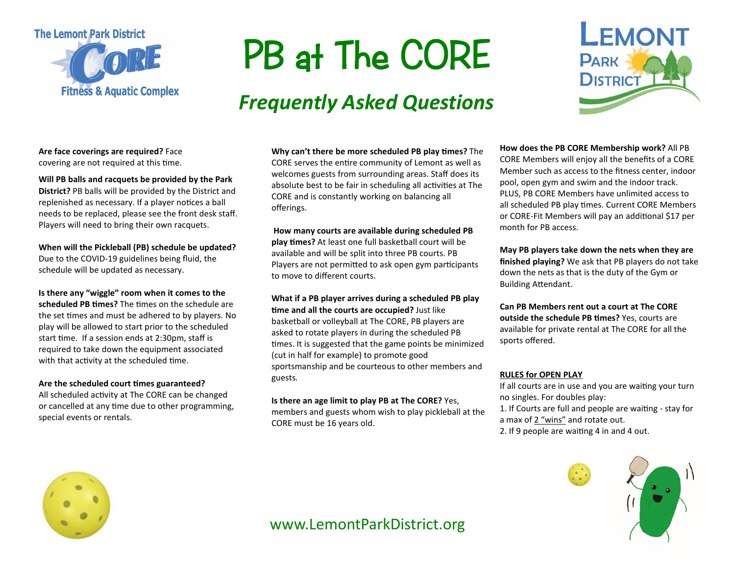

# **PB at The CORE**

## *Frequently Asked Questions*



**Are face coverings are required?** Face covering are not required at this time.

**Will PB balls and racquets be provided by the Park District?** PB balls will be provided by the District and replenished as necessary. If a player notices a ball needs to be replaced, please see the front desk staff. Players will need to bring their own racquets.

**When will the Pickleball (PB) schedule be updated?** Due to the COVID-19 guidelines being fluid, the schedule will be updated as necessary.

**Is there any "wiggle" room when it comes to the scheduled PB times?** The times on the schedule are the set times and must be adhered to by players. No play will be allowed to start prior to the scheduled start time. If a session ends at 2:30pm, staff is required to take down the equipment associated with that activity at the scheduled time.

#### Are the scheduled court times guaranteed?

All scheduled activity at The CORE can be changed or cancelled at any time due to other programming, special events or rentals.

**Why can't there be more scheduled PB play �mes?** The CORE serves the entire community of Lemont as well as welcomes guests from surrounding areas. Staff does its absolute best to be fair in scheduling all activities at The CORE and is constantly working on balancing all offerings.

**How many courts are available during scheduled PB play �mes?** At least one full basketball court will be available and will be split into three PB courts. PB Players are not permitted to ask open gym participants to move to different courts.

**What if a PB player arrives during a scheduled PB play �me and all the courts are occupied?** Just like basketball or volleyball at The CORE, PB players are asked to rotate players in during the scheduled PB times. It is suggested that the game points be minimized (cut in half for example) to promote good sportsmanship and be courteous to other members and guests*.*

**Is there an age limit to play PB at The CORE?** Yes, members and guests whom wish to play pickleball at the CORE must be 16 years old.

**How does the PB CORE Membership work?** All PB CORE Members will enjoy all the benefits of a CORE Member such as access to the fitness center, indoor pool, open gym and swim and the indoor track. PLUS, PB CORE Members have unlimited access to all scheduled PB play times. Current CORE Members or CORE-Fit Members will pay an additional \$17 per month for PB access.

**May PB players take down the nets when they are finished playing?** We ask that PB players do not take down the nets as that is the duty of the Gym or Building Atendant.

**Can PB Members rent out a court at The CORE outside the schedule PB times?** Yes, courts are available for private rental at The CORE for all the sports offered.

#### **RULES for OPEN PLAY**

If all courts are in use and you are waiting your turn no singles. For doubles play:

1. If Courts are full and people are waiting - stay for a max of 2 "wins" and rotate out.

2. If 9 people are waiting 4 in and 4 out.





www.LemontParkDistrict.org